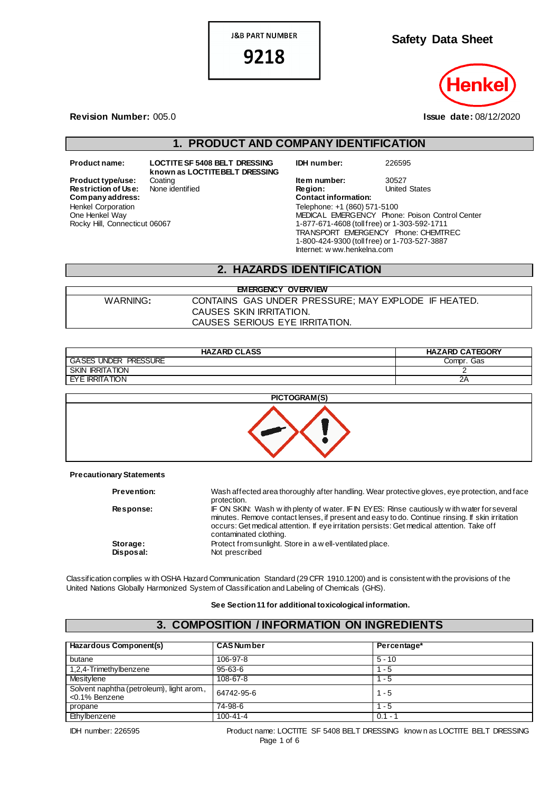**J&B PART NUMBER** 

9218

**Safety Data Sheet**

**Revision Number:** 005.0 **Issue date:** 08/12/2020

## **1. PRODUCT AND COMPANY IDENTIFICATION**

**Restriction of Use:**<br>Company address: Henkel Corporation One Henkel Way Rocky Hill, Connecticut 06067

**Product name: LOCTITE SF 5408 BELT DRESSING known as LOCTITE BELT DRESSING** **IDH number:** 226595

**Product type/use:** Coating **Item number:** 30527<br> **Restriction of Use:** None identified **Integral Product Product Product** Product Product Assessment Product Product Product Product Product Product Product Product Product **Company address: Contact information:** Telephone: +1 (860) 571-5100 MEDICAL EMERGENCY Phone: Poison Control Center 1-877-671-4608 (toll free) or 1-303-592-1711 TRANSPORT EMERGENCY Phone: CHEMTREC 1-800-424-9300 (toll free) or 1-703-527-3887 Internet: w ww.henkelna.com

### **2. HAZARDS IDENTIFICATION**

| <b>EMERGENCY OVERVIEW</b> |                                                     |  |  |
|---------------------------|-----------------------------------------------------|--|--|
| WARNING:                  | CONTAINS GAS UNDER PRESSURE; MAY EXPLODE IF HEATED. |  |  |
|                           | CAUSES SKIN IRRITATION.                             |  |  |
|                           | CAUSES SERIOUS EYE IRRITATION.                      |  |  |

| <b>HAZARD CLASS</b>         | <b>HAZARD CATEGORY</b> |
|-----------------------------|------------------------|
| <b>GASES UNDER PRESSURE</b> | Compr. Gas             |
| <b>SKIN IRRITATION</b>      |                        |
| EYE IRRITATION              | ZΡ                     |



**Precautionary Statements**

| <b>Prevention:</b>    | Wash affected area thoroughly after handling. Wear protective gloves, eye protection, and face<br>protection.                                                                                                                                                                                                         |
|-----------------------|-----------------------------------------------------------------------------------------------------------------------------------------------------------------------------------------------------------------------------------------------------------------------------------------------------------------------|
| <b>Response:</b>      | IF ON SKIN: Wash with plenty of water. IF IN EYES: Rinse cautiously with water for several<br>minutes. Remove contact lenses, if present and easy to do. Continue rinsing. If skin irritation<br>occurs: Get medical attention. If eye irritation persists: Get medical attention. Take off<br>contaminated clothing. |
| Storage:<br>Disposal: | Protect from sunlight. Store in a well-ventilated place.<br>Not prescribed                                                                                                                                                                                                                                            |

Classification complies w ith OSHA Hazard Communication Standard (29 CFR 1910.1200) and is consistent with the provisions of the United Nations Globally Harmonized System of Classification and Labeling of Chemicals (GHS).

#### **See Section 11 for additional toxicological information.**

## **3. COMPOSITION / INFORMATION ON INGREDIENTS**

| Hazardous Component(s)                                     | <b>CAS Number</b> | Percentage* |
|------------------------------------------------------------|-------------------|-------------|
| butane                                                     | 106-97-8          | $5 - 10$    |
| 1,2,4-Trimethylbenzene                                     | $95 - 63 - 6$     | $-5$        |
| Mesitylene                                                 | $108 - 67 - 8$    | - 5         |
| Solvent naphtha (petroleum), light arom.,<br><0.1% Benzene | 64742-95-6        | $1 - 5$     |
| propane                                                    | 74-98-6           | $1 - 5$     |
| Ethylbenzene                                               | $100 - 41 - 4$    | $0.1 - 1$   |

IDH number: 226595 Product name: LOCTITE SF 5408 BELT DRESSING know n as LOCTITE BELT DRESSING Page 1 of 6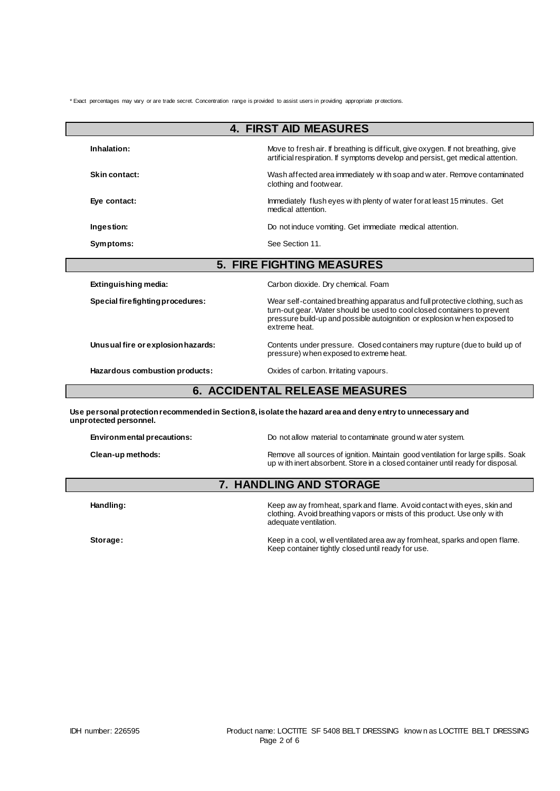\* Exact percentages may vary or are trade secret. Concentration range is provided to assist users in providing appropriate pr otections.

| <b>4. FIRST AID MEASURES</b>          |                                                                                                                                                                                                                                                         |  |  |
|---------------------------------------|---------------------------------------------------------------------------------------------------------------------------------------------------------------------------------------------------------------------------------------------------------|--|--|
| Inhalation:                           | Move to fresh air. If breathing is difficult, give oxygen. If not breathing, give<br>artificial respiration. If symptoms develop and persist, get medical attention.                                                                                    |  |  |
| <b>Skin contact:</b>                  | Wash affected area immediately with soap and water. Remove contaminated<br>clothing and footwear.                                                                                                                                                       |  |  |
| Eye contact:                          | Immediately flush eyes with plenty of water for at least 15 minutes. Get<br>medical attention.                                                                                                                                                          |  |  |
| Ingestion:                            | Do not induce vomiting. Get immediate medical attention.                                                                                                                                                                                                |  |  |
| Symptoms:                             | See Section 11.                                                                                                                                                                                                                                         |  |  |
|                                       | <b>5. FIRE FIGHTING MEASURES</b>                                                                                                                                                                                                                        |  |  |
| Extinguishing media:                  | Carbon dioxide. Dry chemical. Foam                                                                                                                                                                                                                      |  |  |
| Special firefighting procedures:      | Wear self-contained breathing apparatus and full protective clothing, such as<br>turn-out gear. Water should be used to cool closed containers to prevent<br>pressure build-up and possible autoignition or explosion w hen exposed to<br>extreme heat. |  |  |
| Unusual fire or explosion hazards:    | Contents under pressure. Closed containers may rupture (due to build up of<br>pressure) when exposed to extreme heat.                                                                                                                                   |  |  |
| Hazardous combustion products:        | Oxides of carbon. Irritating vapours.                                                                                                                                                                                                                   |  |  |
| <b>6. ACCIDENTAL RELEASE MEASURES</b> |                                                                                                                                                                                                                                                         |  |  |
| unprotected personnel.                | Use personal protection recommended in Section 8, is olate the hazard area and deny entry to unnecessary and                                                                                                                                            |  |  |
| Environmental precautions:            | Do not allow material to contaminate ground w ater system.                                                                                                                                                                                              |  |  |
| Clean-up methods:                     | Remove all sources of ignition. Maintain good ventilation for large spills. Soak<br>up with inert absorbent. Store in a closed container until ready for disposal.                                                                                      |  |  |

# **7. HANDLING AND STORAGE**

Handling: **Handling:** Keep aw ay from heat, spark and flame. A void contact with eyes, skin and clothing. Avoid breathing vapors or mists of this product. Use only w ith adequate ventilation.

**Storage:** Keep in a cool, w ell ventilated area aw ay from heat, sparks and open flame. Keep container tightly closed until ready for use.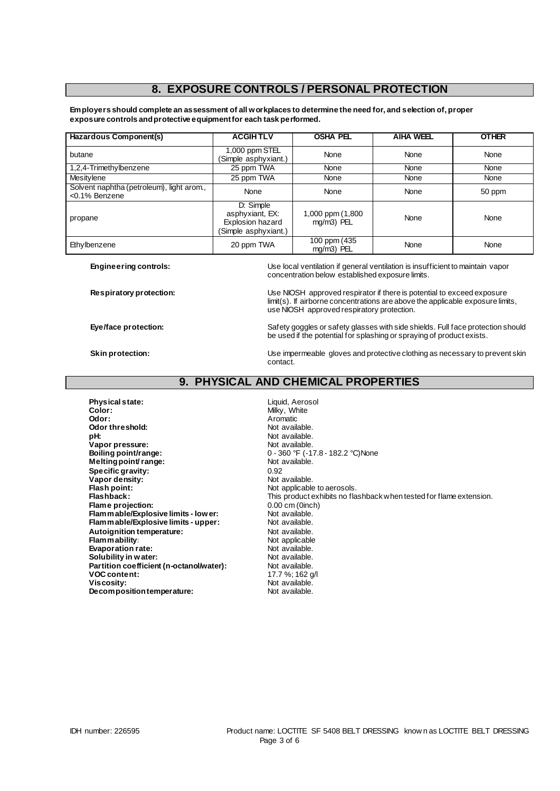## **8. EXPOSURE CONTROLS / PERSONAL PROTECTION**

**Employers should complete an assessment of all workplaces to determine the need for, and selection of, proper exposure controls and protective equipment for each task performed.**

| Hazardous Component(s)                                     | <b>ACGIHTLV</b>                                                          | <b>OSHA PEL</b>                | <b>AIHA WEEL</b> | <b>OTHER</b> |
|------------------------------------------------------------|--------------------------------------------------------------------------|--------------------------------|------------------|--------------|
| butane                                                     | 1,000 ppm STEL<br>(Simple asphyxiant.)                                   | None                           | None             | None         |
| 1,2,4-Trimethylbenzene                                     | 25 ppm TWA                                                               | None                           | None             | None         |
| Mesitylene                                                 | 25 ppm TWA                                                               | None                           | None             | None         |
| Solvent naphtha (petroleum), light arom.,<br><0.1% Benzene | None                                                                     | None                           | None             | 50 ppm       |
| propane                                                    | D: Simple<br>asphyxiant, EX:<br>Explosion hazard<br>(Simple asphyxiant.) | 1,000 ppm (1,800<br>mg/m3) PEL | None             | None         |
| Ethylbenzene                                               | 20 ppm TWA                                                               | 100 ppm (435<br>mg/m3) PEL     | None             | None         |

**Engineering controls:** Use local ventilation if general ventilation is insufficient to maintain vapor concentration below established exposure limits.

**Respiratory protection:** Use NIOSH approved respirator if there is potential to exceed exposure limit(s). If airborne concentrations are above the applicable exposure limits, use NIOSH approved respiratory protection.

**Eye/face protection:** Safety goggles or safety glasses with side shields. Full face protection should be used if the potential for splashing or spraying of product exists.

**Skin protection:** Use impermeable gloves and protective clothing as necessary to prevent skin contact.

## **9. PHYSICAL AND CHEMICAL PROPERTIES**

**Physical state:** Liquid, Aerosol **Color:** Milky, White **Odor:** Aromatic **Odor:** Aromatic **Constanting Constanting Constanting Constanting Constanting Constanting Constanting Constanting Constanting Constanting Constanting Constanting Constanting Constanting Constanting Constan Odor threshold: pH:**<br> **Vapor pressure:**<br> **Vapor pressure:**<br> **Vapor pressure: Vapor pressure:**<br>Boiling point/range: **Melting point/ range: Specific gravity:** 0.92<br> **Vapor density:** Contract Contract Contract Contract Contract Contract Contract Contract Contract Contract Contra<br>
Contract Contract Contract Contract Contract Contract Contract Contract Contract Vapor density:<br>Flash point: **Flash point: Not applicable to aerosols.**<br> **Flashback:** This product exhibits no fla **Flame projection: Flame projection: Flammable/Explosive limits - lower: Not** available. **Flammable/Explosive limits - lower:** Not available.<br> **Flammable/Explosive limits - upper:** Not available. **Flammable/Explosive limits - upper:** Not available.<br> **Autoignition temperature:** Not available. **Autoignition temperature:** Not available.<br> **Flammability:** Not applicable **Flammability:**<br> **Evaporation rate:**<br> **Evaporation rate:**<br> **Evaporation rate: Evaporation rate:**<br> **Solubility in water:** Not available.<br>
Not available. **Solubility in water: Partition coefficient (n-octanol/water):** Not available.<br>**VOC content:** 17.7 %; 162 g/l **VOC content:**<br>Viscosity: **Decomposition temperature:** 

0 - 360 °F (-17.8 - 182.2 °C)None<br>Not available. This product exhibits no flashback when tested for flame extension. Not available.<br>Not available.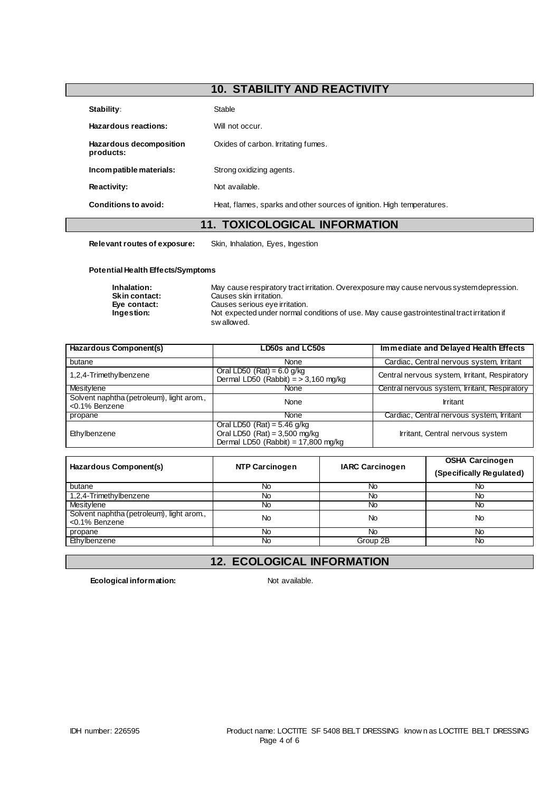## **10. STABILITY AND REACTIVITY**

| Stability:                           | Stable                                                                 |
|--------------------------------------|------------------------------------------------------------------------|
| Hazardous reactions:                 | Will not occur.                                                        |
| Hazardous decomposition<br>products: | Oxides of carbon. Irritating fumes.                                    |
| Incompatible materials:              | Strong oxidizing agents.                                               |
| <b>Reactivity:</b>                   | Not available.                                                         |
| Conditions to avoid:                 | Heat, flames, sparks and other sources of ignition. High temperatures. |

### **11. TOXICOLOGICAL INFORMATION**

**Relevant routes of exposure:** Skin, Inhalation, Eyes, Ingestion

#### **Potential Health Effects/Symptoms**

| Inhalation:          | May cause respiratory tract irritation. Overexposure may cause nervous system depression.   |
|----------------------|---------------------------------------------------------------------------------------------|
| <b>Skin contact:</b> | Causes skin irritation.                                                                     |
| Eve contact:         | Causes serious eye irritation.                                                              |
| Ingestion:           | Not expected under normal conditions of use. May cause gastrointestinal tract irritation if |
|                      | swallowed.                                                                                  |

| Hazardous Component(s)                                     | LD50s and LC50s                                                                                           | Immediate and Delayed Health Effects          |  |
|------------------------------------------------------------|-----------------------------------------------------------------------------------------------------------|-----------------------------------------------|--|
| butane                                                     | None                                                                                                      | Cardiac, Central nervous system, Irritant     |  |
| 1,2,4-Trimethylbenzene                                     | Oral LD50 $(Rat) = 6.0$ g/kg<br>Dermal LD50 (Rabbit) $=$ > 3,160 mg/kg                                    | Central nervous system, Irritant, Respiratory |  |
| Mesitylene                                                 | None                                                                                                      | Central nervous system, Irritant, Respiratory |  |
| Solvent naphtha (petroleum), light arom.,<br><0.1% Benzene | None                                                                                                      | Irritant                                      |  |
| propane                                                    | None                                                                                                      | Cardiac, Central nervous system, Irritant     |  |
| Ethylbenzene                                               | Oral LD50 (Rat) = $5.46$ g/kg<br>Oral LD50 (Rat) = $3,500$ mg/kg<br>Dermal LD50 (Rabbit) = $17,800$ mg/kg | Irritant, Central nervous system              |  |

| Hazardous Component(s)                                     | <b>NTP Carcinogen</b> | <b>IARC Carcinogen</b> |    |
|------------------------------------------------------------|-----------------------|------------------------|----|
| butane                                                     | No                    | No                     | No |
| 1,2,4-Trimethylbenzene                                     | No                    | No                     | No |
| Mesitylene                                                 | No                    | No                     | No |
| Solvent naphtha (petroleum), light arom.,<br><0.1% Benzene | No                    | <b>No</b>              | No |
| propane                                                    | No                    | <b>No</b>              | No |
| Ethylbenzene                                               | No                    | Group 2B               | No |

## **12. ECOLOGICAL INFORMATION**

**Ecological information:** Not available.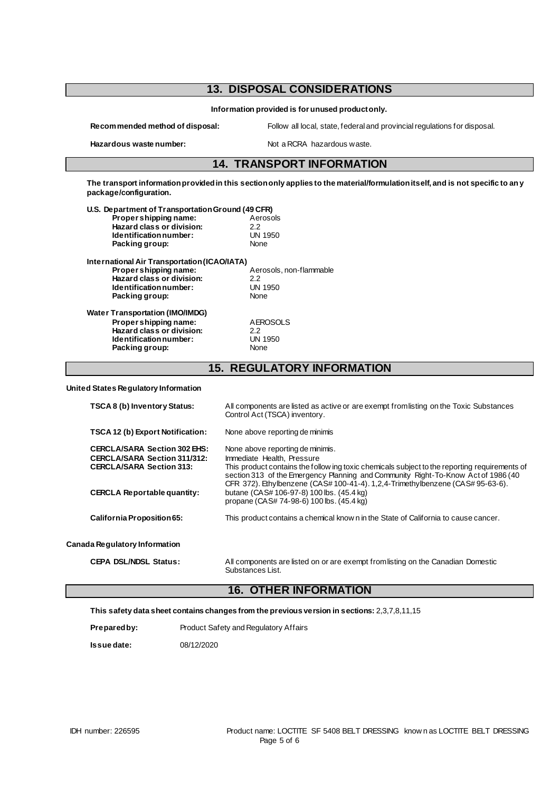## **13. DISPOSAL CONSIDERATIONS Information provided is for unused product only. Recommended method of disposal:** Follow all local, state, federal and provincial regulations for disposal. Hazardous waste number: Not a RCRA hazardous waste. **14. TRANSPORT INFORMATION The transport information provided in this section only applies to the material/formulation itself, and is not specific to any package/configuration. U.S. Department of Transportation Ground (49 CFR) Proper shipping name:** Aerosols Aproximate Aproximation Aproximation Aproximation Aproximation Aproximation Apr<br>2.2 **Hazard class or division:** 2.2<br> **Identification number:** UN 1950 **Identification number:** UN 1950<br>Packing group: UN 1950 **Packing group: International Air Transportation (ICAO/IATA) Proper shipping name:**  $\overrightarrow{A}$  Aerosols, non-flammable<br> **Hazard class or division:** 2.2 **Hazard class or division:** 2.2<br> **Identification number:** UN 1950 **Identification number:** UN 1950<br>Packing group: UN None **Packing group: Water Transportation (IMO/IMDG) Proper shipping name:** AEROSOLS<br> **Hazard class or division:** 22 **Hazard class or division:** 2.2<br> **Identification number:** UN 1950 **Identification number:** UN 1950<br>Packing group: UN None **Packing group: 15. REGULATORY INFORMATION**

#### **United States Regulatory Information**

| TSCA 8 (b) Inventory Status:                                                                                                                        | All components are listed as active or are exempt from listing on the Toxic Substances<br>Control Act (TSCA) inventory.                                                                                                                                                                                                                                                                                                            |
|-----------------------------------------------------------------------------------------------------------------------------------------------------|------------------------------------------------------------------------------------------------------------------------------------------------------------------------------------------------------------------------------------------------------------------------------------------------------------------------------------------------------------------------------------------------------------------------------------|
| TSCA 12 (b) Export Notification:                                                                                                                    | None above reporting de minimis                                                                                                                                                                                                                                                                                                                                                                                                    |
| <b>CERCLA/SARA Section 302 EHS:</b><br><b>CERCLA/SARA Section 311/312:</b><br><b>CERCLA/SARA Section 313:</b><br><b>CERCLA Reportable quantity:</b> | None above reporting de minimis.<br>Immediate Health, Pressure<br>This product contains the follow ing toxic chemicals subject to the reporting requirements of<br>section 313 of the Emergency Planning and Community Right-To-Know Act of 1986 (40<br>CFR 372). Ethylbenzene (CAS# 100-41-4). 1, 2, 4-Trimethylbenzene (CAS# 95-63-6).<br>butane (CAS# 106-97-8) 100 lbs. (45.4 kg)<br>propane (CAS# 74-98-6) 100 lbs. (45.4 kg) |
| California Proposition 65:                                                                                                                          | This product contains a chemical know n in the State of California to cause cancer.                                                                                                                                                                                                                                                                                                                                                |
| Canada Regulatory Information                                                                                                                       |                                                                                                                                                                                                                                                                                                                                                                                                                                    |
| <b>CEPA DSL/NDSL Status:</b>                                                                                                                        | All components are listed on or are exempt from listing on the Canadian Domestic<br>Substances List.                                                                                                                                                                                                                                                                                                                               |

### **16. OTHER INFORMATION**

|  | This safety data sheet contains changes from the previous version in sections: 2,3,7,8,11,15 |  |  |  |
|--|----------------------------------------------------------------------------------------------|--|--|--|
|--|----------------------------------------------------------------------------------------------|--|--|--|

| Prepared by: | Product Safety and Regulatory Affairs |
|--------------|---------------------------------------|
|              |                                       |

**Issue date:** 08/12/2020